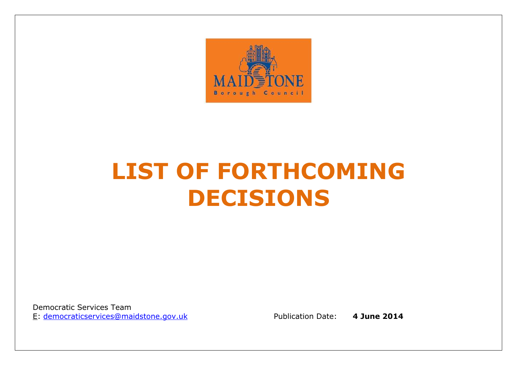

# **LIST OF FORTHCOMING DECISIONS**

Democratic Services TeamE: democraticservices@maidstone.gov.uk

Publication Date: **4 June 2014**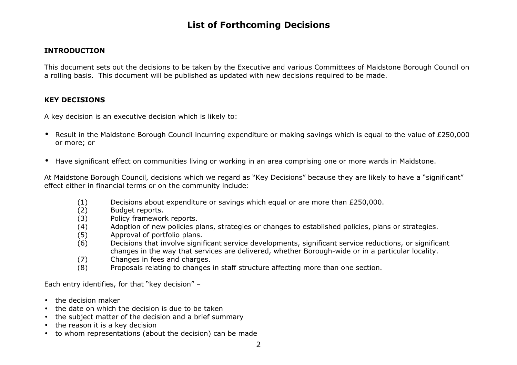#### **INTRODUCTION**

This document sets out the decisions to be taken by the Executive and various Committees of Maidstone Borough Council on a rolling basis. This document will be published as updated with new decisions required to be made.

#### **KEY DECISIONS**

A key decision is an executive decision which is likely to:

- Result in the Maidstone Borough Council incurring expenditure or making savings which is equal to the value of £250,000 or more; or
- Have significant effect on communities living or working in an area comprising one or more wards in Maidstone.

At Maidstone Borough Council, decisions which we regard as "Key Decisions" because they are likely to have a "significant" effect either in financial terms or on the community include:

- $(1)$  Decisions about expenditure or savings which equal or are more than £250,000.
- (2) Budget reports.
- (3) Policy framework reports.
- (4) Adoption of new policies plans, strategies or changes to established policies, plans or strategies.
- (5) Approval of portfolio plans.
- (6) Decisions that involve significant service developments, significant service reductions, or significant changes in the way that services are delivered, whether Borough-wide or in a particular locality.
- (7) Changes in fees and charges.
- (8) Proposals relating to changes in staff structure affecting more than one section.

Each entry identifies, for that "key decision" –

- the decision maker
- •the date on which the decision is due to be taken
- •the subject matter of the decision and a brief summary
- •the reason it is a key decision
- to whom representations (about the decision) can be made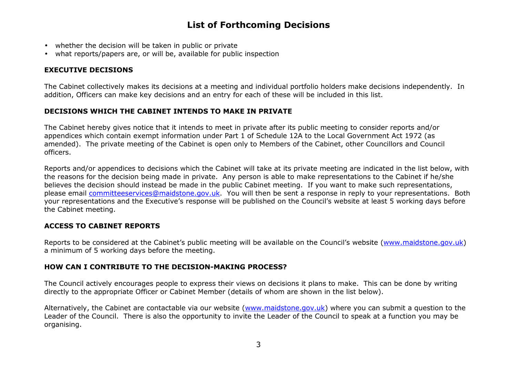- whether the decision will be taken in public or private
- •what reports/papers are, or will be, available for public inspection

#### **EXECUTIVE DECISIONS**

The Cabinet collectively makes its decisions at a meeting and individual portfolio holders make decisions independently. In addition, Officers can make key decisions and an entry for each of these will be included in this list.

#### **DECISIONS WHICH THE CABINET INTENDS TO MAKE IN PRIVATE**

The Cabinet hereby gives notice that it intends to meet in private after its public meeting to consider reports and/or appendices which contain exempt information under Part 1 of Schedule 12A to the Local Government Act 1972 (as amended). The private meeting of the Cabinet is open only to Members of the Cabinet, other Councillors and Council officers.

Reports and/or appendices to decisions which the Cabinet will take at its private meeting are indicated in the list below, with the reasons for the decision being made in private. Any person is able to make representations to the Cabinet if he/she believes the decision should instead be made in the public Cabinet meeting. If you want to make such representations, please email *committeeservices@maidstone.gov.uk*. You will then be sent a response in reply to your representations. Both your representations and the Executive's response will be published on the Council's website at least 5 working days before the Cabinet meeting.

#### **ACCESS TO CABINET REPORTS**

Reports to be considered at the Cabinet's public meeting will be available on the Council's website (www.maidstone.gov.uk) a minimum of 5 working days before the meeting.

#### **HOW CAN I CONTRIBUTE TO THE DECISION-MAKING PROCESS?**

The Council actively encourages people to express their views on decisions it plans to make. This can be done by writing directly to the appropriate Officer or Cabinet Member (details of whom are shown in the list below).

Alternatively, the Cabinet are contactable via our website (www.maidstone.gov.uk) where you can submit a question to the Leader of the Council. There is also the opportunity to invite the Leader of the Council to speak at a function you may be organising.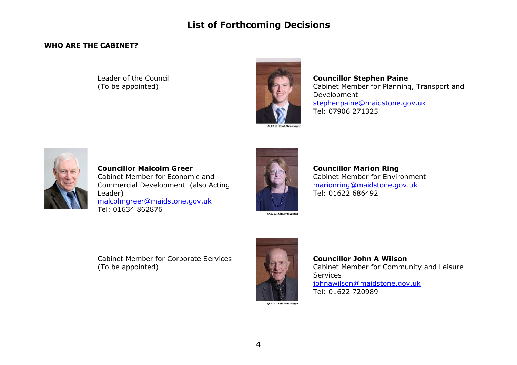#### **WHO ARE THE CABINET?**

#### Leader of the Council (To be appointed)



#### **Councillor Stephen Paine**  Cabinet Member for Planning, Transport and Development stephenpaine@maidstone.gov.ukTel: 07906 271325



**Councillor Malcolm Greer** Cabinet Member for Economic and Commercial Development (also Acting Leader) malcolmgreer@maidstone.gov.ukTel: 01634 862876



**Councillor Marion Ring** Cabinet Member for Environment marionring@maidstone.gov.ukTel: 01622 686492

Cabinet Member for Corporate Services (To be appointed)



**Councillor John A Wilson**  Cabinet Member for Community and Leisure Services johnawilson@maidstone.gov.ukTel: 01622 720989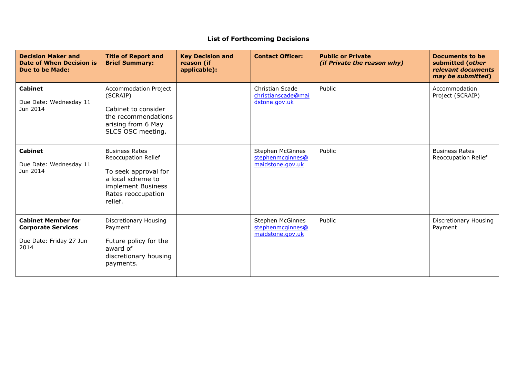| <b>Decision Maker and</b><br>Date of When Decision is<br><b>Due to be Made:</b>           | <b>Title of Report and</b><br><b>Brief Summary:</b>                                                                                              | <b>Key Decision and</b><br>reason (if<br>applicable): | <b>Contact Officer:</b>                                  | <b>Public or Private</b><br><i>(if Private the reason why)</i> | Documents to be<br>submitted (other<br>relevant documents<br>may be submitted) |
|-------------------------------------------------------------------------------------------|--------------------------------------------------------------------------------------------------------------------------------------------------|-------------------------------------------------------|----------------------------------------------------------|----------------------------------------------------------------|--------------------------------------------------------------------------------|
| <b>Cabinet</b><br>Due Date: Wednesday 11<br>Jun 2014                                      | Accommodation Project<br>(SCRAIP)<br>Cabinet to consider<br>the recommendations<br>arising from 6 May<br>SLCS OSC meeting.                       |                                                       | Christian Scade<br>christianscade@mai<br>dstone.gov.uk   | Public                                                         | Accommodation<br>Project (SCRAIP)                                              |
| <b>Cabinet</b><br>Due Date: Wednesday 11<br>Jun 2014                                      | <b>Business Rates</b><br>Reoccupation Relief<br>To seek approval for<br>a local scheme to<br>implement Business<br>Rates reoccupation<br>relief. |                                                       | Stephen McGinnes<br>stephenmcginnes@<br>maidstone.gov.uk | Public                                                         | <b>Business Rates</b><br>Reoccupation Relief                                   |
| <b>Cabinet Member for</b><br><b>Corporate Services</b><br>Due Date: Friday 27 Jun<br>2014 | Discretionary Housing<br>Payment<br>Future policy for the<br>award of<br>discretionary housing<br>payments.                                      |                                                       | Stephen McGinnes<br>stephenmcginnes@<br>maidstone.gov.uk | Public                                                         | Discretionary Housing<br>Payment                                               |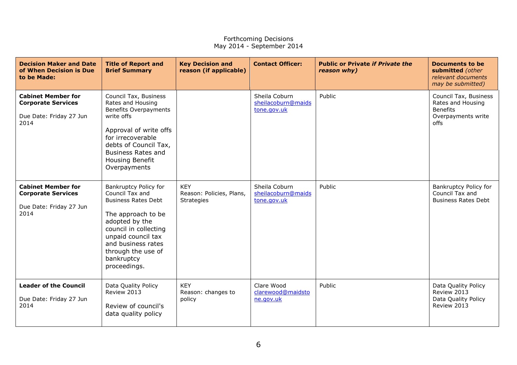| <b>Decision Maker and Date</b><br>of When Decision is Due<br>to be Made:                  | <b>Title of Report and</b><br><b>Brief Summary</b>                                                                                                                                                                                      | <b>Key Decision and</b><br>reason (if applicable)           | <b>Contact Officer:</b>                            | <b>Public or Private if Private the</b><br>reason why) | <b>Documents to be</b><br>submitted (other<br>relevant documents<br>may be submitted)       |
|-------------------------------------------------------------------------------------------|-----------------------------------------------------------------------------------------------------------------------------------------------------------------------------------------------------------------------------------------|-------------------------------------------------------------|----------------------------------------------------|--------------------------------------------------------|---------------------------------------------------------------------------------------------|
| <b>Cabinet Member for</b><br><b>Corporate Services</b><br>Due Date: Friday 27 Jun<br>2014 | Council Tax, Business<br>Rates and Housing<br><b>Benefits Overpayments</b><br>write offs<br>Approval of write offs<br>for irrecoverable<br>debts of Council Tax,<br><b>Business Rates and</b><br>Housing Benefit<br>Overpayments        |                                                             | Sheila Coburn<br>sheilacoburn@maids<br>tone.gov.uk | Public                                                 | Council Tax, Business<br>Rates and Housing<br><b>Benefits</b><br>Overpayments write<br>offs |
| <b>Cabinet Member for</b><br><b>Corporate Services</b><br>Due Date: Friday 27 Jun<br>2014 | Bankruptcy Policy for<br>Council Tax and<br><b>Business Rates Debt</b><br>The approach to be<br>adopted by the<br>council in collecting<br>unpaid council tax<br>and business rates<br>through the use of<br>bankruptcy<br>proceedings. | <b>KEY</b><br>Reason: Policies, Plans,<br><b>Strategies</b> | Sheila Coburn<br>sheilacoburn@maids<br>tone.gov.uk | Public                                                 | Bankruptcy Policy for<br>Council Tax and<br><b>Business Rates Debt</b>                      |
| <b>Leader of the Council</b><br>Due Date: Friday 27 Jun<br>2014                           | Data Quality Policy<br>Review 2013<br>Review of council's<br>data quality policy                                                                                                                                                        | <b>KEY</b><br>Reason: changes to<br>policy                  | Clare Wood<br>clarewood@maidsto<br>ne.gov.uk       | Public                                                 | Data Quality Policy<br>Review 2013<br>Data Quality Policy<br>Review 2013                    |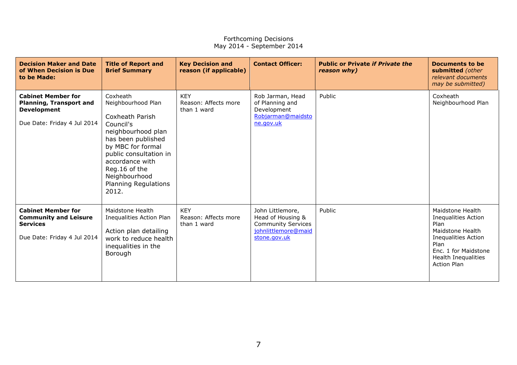| <b>Decision Maker and Date</b><br>of When Decision is Due<br>to be Made:                                         | <b>Title of Report and</b><br><b>Brief Summary</b>                                                                                                                                                                                              | <b>Key Decision and</b><br>reason (if applicable) | <b>Contact Officer:</b>                                                                                   | <b>Public or Private if Private the</b><br>reason why) | <b>Documents to be</b><br>submitted (other<br>relevant documents<br>may be submitted)                                                                                                 |
|------------------------------------------------------------------------------------------------------------------|-------------------------------------------------------------------------------------------------------------------------------------------------------------------------------------------------------------------------------------------------|---------------------------------------------------|-----------------------------------------------------------------------------------------------------------|--------------------------------------------------------|---------------------------------------------------------------------------------------------------------------------------------------------------------------------------------------|
| <b>Cabinet Member for</b><br><b>Planning, Transport and</b><br><b>Development</b><br>Due Date: Friday 4 Jul 2014 | Coxheath<br>Neighbourhood Plan<br>Coxheath Parish<br>Council's<br>neighbourhood plan<br>has been published<br>by MBC for formal<br>public consultation in<br>accordance with<br>Reg.16 of the<br>Neighbourhood<br>Planning Regulations<br>2012. | <b>KEY</b><br>Reason: Affects more<br>than 1 ward | Rob Jarman, Head<br>of Planning and<br>Development<br>Robjarman@maidsto<br>ne.gov.uk                      | Public                                                 | Coxheath<br>Neighbourhood Plan                                                                                                                                                        |
| <b>Cabinet Member for</b><br><b>Community and Leisure</b><br><b>Services</b><br>Due Date: Friday 4 Jul 2014      | Maidstone Health<br>Inequalities Action Plan<br>Action plan detailing<br>work to reduce health<br>inequalities in the<br>Borough                                                                                                                | <b>KEY</b><br>Reason: Affects more<br>than 1 ward | John Littlemore,<br>Head of Housing &<br><b>Community Services</b><br>johnlittlemore@maid<br>stone.gov.uk | Public                                                 | Maidstone Health<br><b>Inequalities Action</b><br>Plan<br>Maidstone Health<br><b>Inequalities Action</b><br>Plan<br>Enc. 1 for Maidstone<br>Health Inequalities<br><b>Action Plan</b> |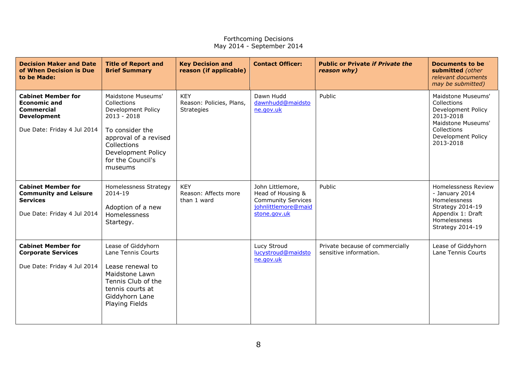| <b>Decision Maker and Date</b><br>of When Decision is Due<br>to be Made:                                                   | <b>Title of Report and</b><br><b>Brief Summary</b>                                                                                                                                        | <b>Key Decision and</b><br>reason (if applicable)    | <b>Contact Officer:</b>                                                                                   | <b>Public or Private if Private the</b><br>reason why)    | <b>Documents to be</b><br>submitted (other<br>relevant documents<br>may be submitted)                                                        |
|----------------------------------------------------------------------------------------------------------------------------|-------------------------------------------------------------------------------------------------------------------------------------------------------------------------------------------|------------------------------------------------------|-----------------------------------------------------------------------------------------------------------|-----------------------------------------------------------|----------------------------------------------------------------------------------------------------------------------------------------------|
| <b>Cabinet Member for</b><br><b>Economic and</b><br><b>Commercial</b><br><b>Development</b><br>Due Date: Friday 4 Jul 2014 | Maidstone Museums'<br>Collections<br>Development Policy<br>$2013 - 2018$<br>To consider the<br>approval of a revised<br>Collections<br>Development Policy<br>for the Council's<br>museums | <b>KEY</b><br>Reason: Policies, Plans,<br>Strategies | Dawn Hudd<br>dawnhudd@maidsto<br>ne.gov.uk                                                                | Public                                                    | Maidstone Museums'<br>Collections<br>Development Policy<br>2013-2018<br>Maidstone Museums'<br>Collections<br>Development Policy<br>2013-2018 |
| <b>Cabinet Member for</b><br><b>Community and Leisure</b><br><b>Services</b><br>Due Date: Friday 4 Jul 2014                | Homelessness Strategy<br>2014-19<br>Adoption of a new<br>Homelessness<br>Startegy.                                                                                                        | <b>KEY</b><br>Reason: Affects more<br>than 1 ward    | John Littlemore,<br>Head of Housing &<br><b>Community Services</b><br>johnlittlemore@maid<br>stone.gov.uk | Public                                                    | Homelessness Review<br>- January 2014<br>Homelessness<br>Strategy 2014-19<br>Appendix 1: Draft<br>Homelessness<br>Strategy 2014-19           |
| <b>Cabinet Member for</b><br><b>Corporate Services</b><br>Due Date: Friday 4 Jul 2014                                      | Lease of Giddyhorn<br>Lane Tennis Courts<br>Lease renewal to<br>Maidstone Lawn<br>Tennis Club of the<br>tennis courts at<br>Giddyhorn Lane<br><b>Playing Fields</b>                       |                                                      | Lucy Stroud<br>lucystroud@maidsto<br>ne.gov.uk                                                            | Private because of commercially<br>sensitive information. | Lease of Giddyhorn<br>Lane Tennis Courts                                                                                                     |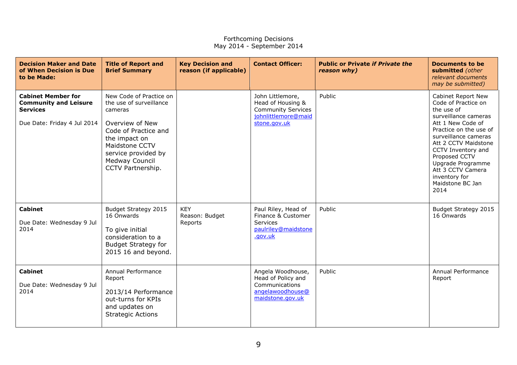| <b>Decision Maker and Date</b><br>of When Decision is Due<br>to be Made:                                    | <b>Title of Report and</b><br><b>Brief Summary</b>                                                                                                                                                        | <b>Key Decision and</b><br>reason (if applicable) | <b>Contact Officer:</b>                                                                                   | <b>Public or Private if Private the</b><br>reason why) | <b>Documents to be</b><br>submitted (other<br>relevant documents<br>may be submitted)                                                                                                                                                                                                                        |
|-------------------------------------------------------------------------------------------------------------|-----------------------------------------------------------------------------------------------------------------------------------------------------------------------------------------------------------|---------------------------------------------------|-----------------------------------------------------------------------------------------------------------|--------------------------------------------------------|--------------------------------------------------------------------------------------------------------------------------------------------------------------------------------------------------------------------------------------------------------------------------------------------------------------|
| <b>Cabinet Member for</b><br><b>Community and Leisure</b><br><b>Services</b><br>Due Date: Friday 4 Jul 2014 | New Code of Practice on<br>the use of surveillance<br>cameras<br>Overview of New<br>Code of Practice and<br>the impact on<br>Maidstone CCTV<br>service provided by<br>Medway Council<br>CCTV Partnership. |                                                   | John Littlemore,<br>Head of Housing &<br><b>Community Services</b><br>johnlittlemore@maid<br>stone.gov.uk | Public                                                 | Cabinet Report New<br>Code of Practice on<br>the use of<br>surveillance cameras<br>Att 1 New Code of<br>Practice on the use of<br>surveillance cameras<br>Att 2 CCTV Maidstone<br>CCTV Inventory and<br>Proposed CCTV<br>Upgrade Programme<br>Att 3 CCTV Camera<br>inventory for<br>Maidstone BC Jan<br>2014 |
| <b>Cabinet</b><br>Due Date: Wednesday 9 Jul<br>2014                                                         | Budget Strategy 2015<br>16 Onwards<br>To give initial<br>consideration to a<br><b>Budget Strategy for</b><br>2015 16 and beyond.                                                                          | <b>KEY</b><br>Reason: Budget<br>Reports           | Paul Riley, Head of<br>Finance & Customer<br><b>Services</b><br>paulriley@maidstone<br>.gov.uk            | Public                                                 | Budget Strategy 2015<br>16 Onwards                                                                                                                                                                                                                                                                           |
| <b>Cabinet</b><br>Due Date: Wednesday 9 Jul<br>2014                                                         | Annual Performance<br>Report<br>2013/14 Performance<br>out-turns for KPIs<br>and updates on<br><b>Strategic Actions</b>                                                                                   |                                                   | Angela Woodhouse,<br>Head of Policy and<br>Communications<br>angelawoodhouse@<br>maidstone.gov.uk         | Public                                                 | Annual Performance<br>Report                                                                                                                                                                                                                                                                                 |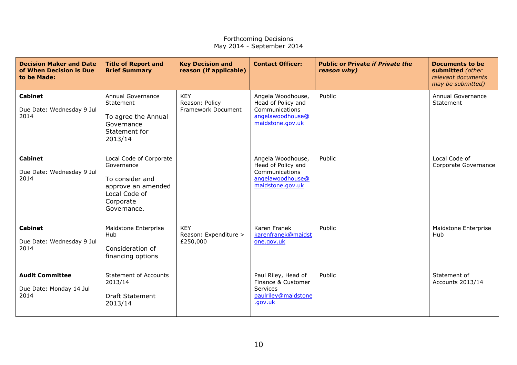| <b>Decision Maker and Date</b><br>of When Decision is Due<br>to be Made: | <b>Title of Report and</b><br><b>Brief Summary</b>                                                                          | <b>Key Decision and</b><br>reason (if applicable)  | <b>Contact Officer:</b>                                                                           | <b>Public or Private if Private the</b><br>reason why) | <b>Documents to be</b><br>submitted (other<br>relevant documents<br>may be submitted) |
|--------------------------------------------------------------------------|-----------------------------------------------------------------------------------------------------------------------------|----------------------------------------------------|---------------------------------------------------------------------------------------------------|--------------------------------------------------------|---------------------------------------------------------------------------------------|
| <b>Cabinet</b><br>Due Date: Wednesday 9 Jul<br>2014                      | Annual Governance<br>Statement<br>To agree the Annual<br>Governance<br>Statement for<br>2013/14                             | <b>KEY</b><br>Reason: Policy<br>Framework Document | Angela Woodhouse,<br>Head of Policy and<br>Communications<br>angelawoodhouse@<br>maidstone.gov.uk | Public                                                 | Annual Governance<br>Statement                                                        |
| <b>Cabinet</b><br>Due Date: Wednesday 9 Jul<br>2014                      | Local Code of Corporate<br>Governance<br>To consider and<br>approve an amended<br>Local Code of<br>Corporate<br>Governance. |                                                    | Angela Woodhouse,<br>Head of Policy and<br>Communications<br>angelawoodhouse@<br>maidstone.gov.uk | Public                                                 | Local Code of<br>Corporate Governance                                                 |
| <b>Cabinet</b><br>Due Date: Wednesday 9 Jul<br>2014                      | Maidstone Enterprise<br>Hub<br>Consideration of<br>financing options                                                        | <b>KEY</b><br>Reason: Expenditure ><br>£250,000    | Karen Franek<br>karenfranek@maidst<br>one.gov.uk                                                  | Public                                                 | Maidstone Enterprise<br>Hub                                                           |
| <b>Audit Committee</b><br>Due Date: Monday 14 Jul<br>2014                | <b>Statement of Accounts</b><br>2013/14<br><b>Draft Statement</b><br>2013/14                                                |                                                    | Paul Riley, Head of<br>Finance & Customer<br>Services<br>paulriley@maidstone<br>.gov.uk           | Public                                                 | Statement of<br>Accounts 2013/14                                                      |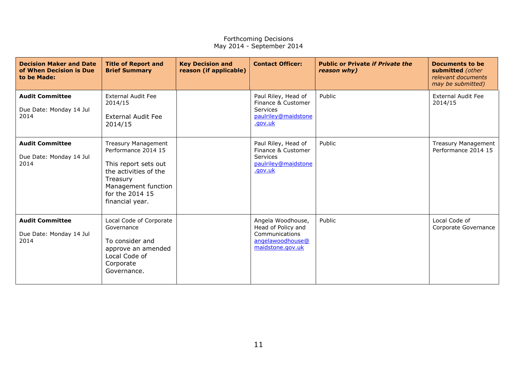| <b>Decision Maker and Date</b><br>of When Decision is Due<br>to be Made: | <b>Title of Report and</b><br><b>Brief Summary</b>                                                                                                                          | <b>Key Decision and</b><br>reason (if applicable) | <b>Contact Officer:</b>                                                                           | <b>Public or Private if Private the</b><br>reason why) | Documents to be<br>submitted (other<br>relevant documents<br>may be submitted) |
|--------------------------------------------------------------------------|-----------------------------------------------------------------------------------------------------------------------------------------------------------------------------|---------------------------------------------------|---------------------------------------------------------------------------------------------------|--------------------------------------------------------|--------------------------------------------------------------------------------|
| <b>Audit Committee</b><br>Due Date: Monday 14 Jul<br>2014                | <b>External Audit Fee</b><br>2014/15<br><b>External Audit Fee</b><br>2014/15                                                                                                |                                                   | Paul Riley, Head of<br>Finance & Customer<br><b>Services</b><br>paulriley@maidstone<br>.gov.uk    | Public                                                 | <b>External Audit Fee</b><br>2014/15                                           |
| <b>Audit Committee</b><br>Due Date: Monday 14 Jul<br>2014                | <b>Treasury Management</b><br>Performance 2014 15<br>This report sets out<br>the activities of the<br>Treasury<br>Management function<br>for the 2014 15<br>financial year. |                                                   | Paul Riley, Head of<br>Finance & Customer<br><b>Services</b><br>paulriley@maidstone<br>.gov.uk    | Public                                                 | <b>Treasury Management</b><br>Performance 2014 15                              |
| <b>Audit Committee</b><br>Due Date: Monday 14 Jul<br>2014                | Local Code of Corporate<br>Governance<br>To consider and<br>approve an amended<br>Local Code of<br>Corporate<br>Governance.                                                 |                                                   | Angela Woodhouse,<br>Head of Policy and<br>Communications<br>angelawoodhouse@<br>maidstone.gov.uk | Public                                                 | Local Code of<br>Corporate Governance                                          |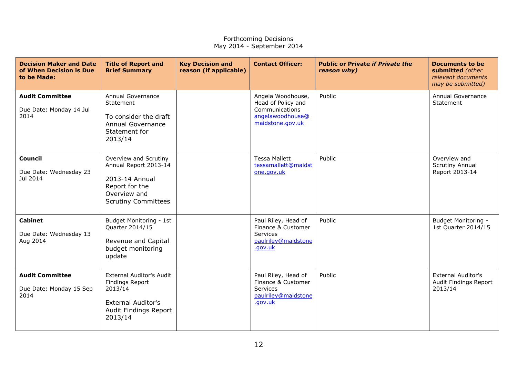| <b>Decision Maker and Date</b><br>of When Decision is Due<br>to be Made: | <b>Title of Report and</b><br><b>Brief Summary</b>                                                                                    | <b>Key Decision and</b><br>reason (if applicable) | <b>Contact Officer:</b>                                                                           | <b>Public or Private if Private the</b><br>reason why) | <b>Documents to be</b><br>submitted (other<br>relevant documents<br>may be submitted) |
|--------------------------------------------------------------------------|---------------------------------------------------------------------------------------------------------------------------------------|---------------------------------------------------|---------------------------------------------------------------------------------------------------|--------------------------------------------------------|---------------------------------------------------------------------------------------|
| <b>Audit Committee</b><br>Due Date: Monday 14 Jul<br>2014                | <b>Annual Governance</b><br>Statement<br>To consider the draft<br><b>Annual Governance</b><br>Statement for<br>2013/14                |                                                   | Angela Woodhouse,<br>Head of Policy and<br>Communications<br>angelawoodhouse@<br>maidstone.gov.uk | Public                                                 | Annual Governance<br>Statement                                                        |
| <b>Council</b><br>Due Date: Wednesday 23<br>Jul 2014                     | Overview and Scrutiny<br>Annual Report 2013-14<br>2013-14 Annual<br>Report for the<br>Overview and<br><b>Scrutiny Committees</b>      |                                                   | <b>Tessa Mallett</b><br>tessamallett@maidst<br>one.gov.uk                                         | Public                                                 | Overview and<br><b>Scrutiny Annual</b><br>Report 2013-14                              |
| <b>Cabinet</b><br>Due Date: Wednesday 13<br>Aug 2014                     | Budget Monitoring - 1st<br>Quarter 2014/15<br>Revenue and Capital<br>budget monitoring<br>update                                      |                                                   | Paul Riley, Head of<br>Finance & Customer<br>Services<br>paulriley@maidstone<br>.gov.uk           | Public                                                 | Budget Monitoring -<br>1st Quarter 2014/15                                            |
| <b>Audit Committee</b><br>Due Date: Monday 15 Sep<br>2014                | <b>External Auditor's Audit</b><br><b>Findings Report</b><br>2013/14<br><b>External Auditor's</b><br>Audit Findings Report<br>2013/14 |                                                   | Paul Riley, Head of<br>Finance & Customer<br>Services<br>paulriley@maidstone<br>.gov.uk           | Public                                                 | <b>External Auditor's</b><br>Audit Findings Report<br>2013/14                         |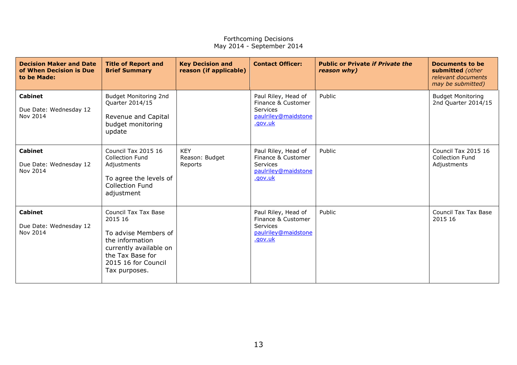| <b>Decision Maker and Date</b><br>of When Decision is Due<br>to be Made: | <b>Title of Report and</b><br><b>Brief Summary</b>                                                                                                               | <b>Key Decision and</b><br>reason (if applicable) | <b>Contact Officer:</b>                                                                        | <b>Public or Private if Private the</b><br>reason why) | Documents to be<br>submitted (other<br>relevant documents<br>may be submitted) |
|--------------------------------------------------------------------------|------------------------------------------------------------------------------------------------------------------------------------------------------------------|---------------------------------------------------|------------------------------------------------------------------------------------------------|--------------------------------------------------------|--------------------------------------------------------------------------------|
| <b>Cabinet</b><br>Due Date: Wednesday 12<br>Nov 2014                     | Budget Monitoring 2nd<br>Quarter 2014/15<br>Revenue and Capital<br>budget monitoring<br>update                                                                   |                                                   | Paul Riley, Head of<br>Finance & Customer<br><b>Services</b><br>paulriley@maidstone<br>.gov.uk | Public                                                 | <b>Budget Monitoring</b><br>2nd Quarter 2014/15                                |
| <b>Cabinet</b><br>Due Date: Wednesday 12<br>Nov 2014                     | Council Tax 2015 16<br><b>Collection Fund</b><br>Adjustments<br>To agree the levels of<br><b>Collection Fund</b><br>adjustment                                   | <b>KEY</b><br>Reason: Budget<br>Reports           | Paul Riley, Head of<br>Finance & Customer<br><b>Services</b><br>paulriley@maidstone<br>.gov.uk | Public                                                 | Council Tax 2015 16<br><b>Collection Fund</b><br>Adjustments                   |
| <b>Cabinet</b><br>Due Date: Wednesday 12<br>Nov 2014                     | Council Tax Tax Base<br>2015 16<br>To advise Members of<br>the information<br>currently available on<br>the Tax Base for<br>2015 16 for Council<br>Tax purposes. |                                                   | Paul Riley, Head of<br>Finance & Customer<br>Services<br>paulriley@maidstone<br>.gov.uk        | Public                                                 | Council Tax Tax Base<br>2015 16                                                |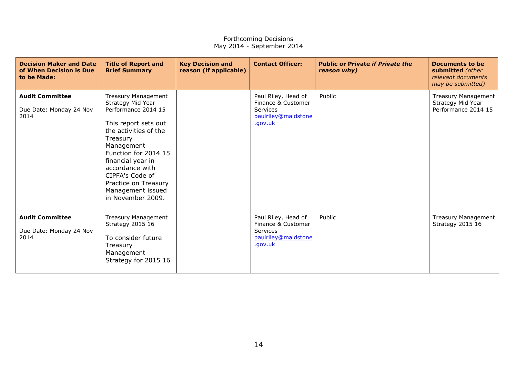| <b>Decision Maker and Date</b><br>of When Decision is Due<br>to be Made: | <b>Title of Report and</b><br><b>Brief Summary</b>                                                                                                                                                                                                                                                     | <b>Key Decision and</b><br>reason (if applicable) | <b>Contact Officer:</b>                                                                        | <b>Public or Private if Private the</b><br>reason why) | Documents to be<br>submitted (other<br>relevant documents<br>may be submitted) |
|--------------------------------------------------------------------------|--------------------------------------------------------------------------------------------------------------------------------------------------------------------------------------------------------------------------------------------------------------------------------------------------------|---------------------------------------------------|------------------------------------------------------------------------------------------------|--------------------------------------------------------|--------------------------------------------------------------------------------|
| <b>Audit Committee</b><br>Due Date: Monday 24 Nov<br>2014                | <b>Treasury Management</b><br>Strategy Mid Year<br>Performance 2014 15<br>This report sets out<br>the activities of the<br>Treasury<br>Management<br>Function for 2014 15<br>financial year in<br>accordance with<br>CIPFA's Code of<br>Practice on Treasury<br>Management issued<br>in November 2009. |                                                   | Paul Riley, Head of<br>Finance & Customer<br><b>Services</b><br>paulriley@maidstone<br>.gov.uk | Public                                                 | <b>Treasury Management</b><br>Strategy Mid Year<br>Performance 2014 15         |
| <b>Audit Committee</b><br>Due Date: Monday 24 Nov<br>2014                | Treasury Management<br><b>Strategy 2015 16</b><br>To consider future<br>Treasury<br>Management<br>Strategy for 2015 16                                                                                                                                                                                 |                                                   | Paul Riley, Head of<br>Finance & Customer<br><b>Services</b><br>paulriley@maidstone<br>.gov.uk | Public                                                 | Treasury Management<br><b>Strategy 2015 16</b>                                 |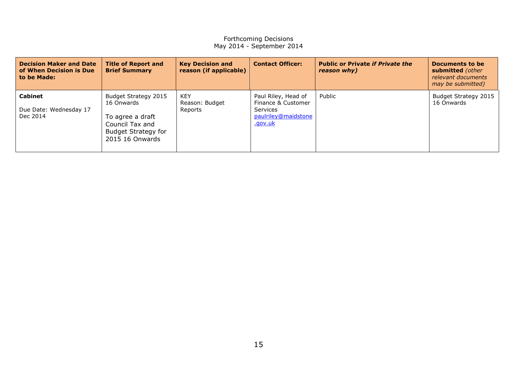| <b>Decision Maker and Date</b><br>of When Decision is Due<br>to be Made: | <b>Title of Report and</b><br><b>Brief Summary</b>                                                                         | <b>Key Decision and</b><br>reason (if applicable) | <b>Contact Officer:</b>                                                                        | <b>Public or Private if Private the</b><br>reason why) | Documents to be<br>submitted (other<br>relevant documents<br>may be submitted) |
|--------------------------------------------------------------------------|----------------------------------------------------------------------------------------------------------------------------|---------------------------------------------------|------------------------------------------------------------------------------------------------|--------------------------------------------------------|--------------------------------------------------------------------------------|
| Cabinet<br>Due Date: Wednesday 17<br>Dec 2014                            | Budget Strategy 2015<br>16 Onwards<br>To agree a draft<br>Council Tax and<br><b>Budget Strategy for</b><br>2015 16 Onwards | KEY<br>Reason: Budget<br>Reports                  | Paul Riley, Head of<br>Finance & Customer<br><b>Services</b><br>paulriley@maidstone<br>.gov.uk | Public                                                 | Budget Strategy 2015<br>16 Onwards                                             |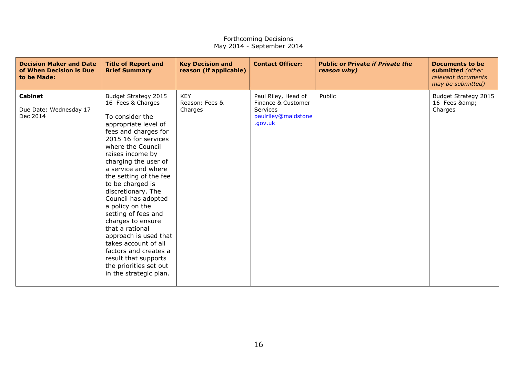| <b>Decision Maker and Date</b><br>of When Decision is Due<br>to be Made: | <b>Title of Report and</b><br><b>Brief Summary</b>                                                                                                                                                                                                                                                                                                                                                                                                                                                                                                              | <b>Key Decision and</b><br>reason (if applicable) | <b>Contact Officer:</b>                                                                        | <b>Public or Private if Private the</b><br>reason why) | Documents to be<br>submitted (other<br>relevant documents<br>may be submitted) |
|--------------------------------------------------------------------------|-----------------------------------------------------------------------------------------------------------------------------------------------------------------------------------------------------------------------------------------------------------------------------------------------------------------------------------------------------------------------------------------------------------------------------------------------------------------------------------------------------------------------------------------------------------------|---------------------------------------------------|------------------------------------------------------------------------------------------------|--------------------------------------------------------|--------------------------------------------------------------------------------|
| <b>Cabinet</b><br>Due Date: Wednesday 17<br>Dec 2014                     | Budget Strategy 2015<br>16 Fees & Charges<br>To consider the<br>appropriate level of<br>fees and charges for<br>2015 16 for services<br>where the Council<br>raises income by<br>charging the user of<br>a service and where<br>the setting of the fee<br>to be charged is<br>discretionary. The<br>Council has adopted<br>a policy on the<br>setting of fees and<br>charges to ensure<br>that a rational<br>approach is used that<br>takes account of all<br>factors and creates a<br>result that supports<br>the priorities set out<br>in the strategic plan. | <b>KEY</b><br>Reason: Fees &<br>Charges           | Paul Riley, Head of<br>Finance & Customer<br><b>Services</b><br>paulriley@maidstone<br>.gov.uk | Public                                                 | Budget Strategy 2015<br>16 Fees &<br>Charges                                   |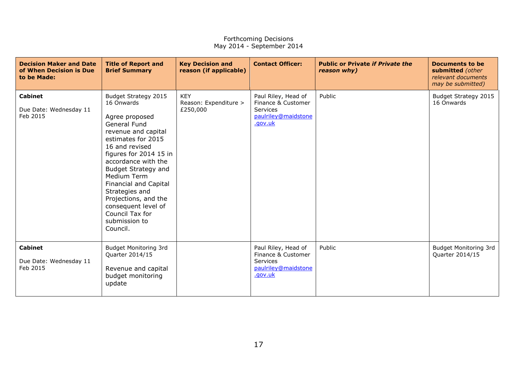| <b>Decision Maker and Date</b><br>of When Decision is Due<br>to be Made: | <b>Title of Report and</b><br><b>Brief Summary</b>                                                                                                                                                                                                                                                                                                                          | <b>Key Decision and</b><br>reason (if applicable) | <b>Contact Officer:</b>                                                                        | <b>Public or Private if Private the</b><br>reason why) | <b>Documents to be</b><br>submitted (other<br>relevant documents<br>may be submitted) |
|--------------------------------------------------------------------------|-----------------------------------------------------------------------------------------------------------------------------------------------------------------------------------------------------------------------------------------------------------------------------------------------------------------------------------------------------------------------------|---------------------------------------------------|------------------------------------------------------------------------------------------------|--------------------------------------------------------|---------------------------------------------------------------------------------------|
| <b>Cabinet</b><br>Due Date: Wednesday 11<br>Feb 2015                     | Budget Strategy 2015<br>16 Onwards<br>Agree proposed<br>General Fund<br>revenue and capital<br>estimates for 2015<br>16 and revised<br>figures for 2014 15 in<br>accordance with the<br><b>Budget Strategy and</b><br>Medium Term<br>Financial and Capital<br>Strategies and<br>Projections, and the<br>consequent level of<br>Council Tax for<br>submission to<br>Council. | <b>KEY</b><br>Reason: Expenditure ><br>£250,000   | Paul Riley, Head of<br>Finance & Customer<br><b>Services</b><br>paulriley@maidstone<br>.gov.uk | Public                                                 | Budget Strategy 2015<br>16 Onwards                                                    |
| <b>Cabinet</b><br>Due Date: Wednesday 11<br>Feb 2015                     | <b>Budget Monitoring 3rd</b><br>Quarter 2014/15<br>Revenue and capital<br>budget monitoring<br>update                                                                                                                                                                                                                                                                       |                                                   | Paul Riley, Head of<br>Finance & Customer<br><b>Services</b><br>paulriley@maidstone<br>.gov.uk | Public                                                 | <b>Budget Monitoring 3rd</b><br>Quarter 2014/15                                       |